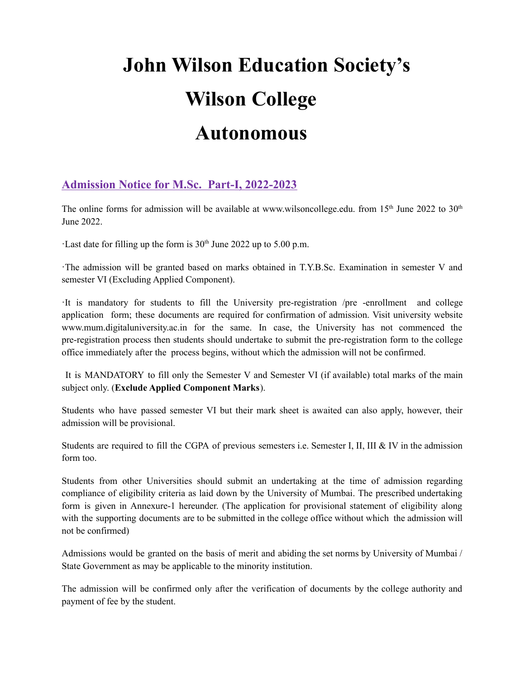# **John Wilson Education Society's Wilson College Autonomous**

# **Admission Notice for M.Sc. Part-I, 2022-2023**

The online forms for admission will be available at www.wilsoncollege.edu. from 15<sup>th</sup> June 2022 to 30<sup>th</sup> June 2022.

Last date for filling up the form is  $30<sup>th</sup>$  June 2022 up to 5.00 p.m.

·The admission will be granted based on marks obtained in T.Y.B.Sc. Examination in semester V and semester VI (Excluding Applied Component).

·It is mandatory for students to fill the University pre-registration /pre -enrollment and college application form; these documents are required for confirmation of admission. Visit university website www.mum.digitaluniversity.ac.in for the same. In case, the University has not commenced the pre-registration process then students should undertake to submit the pre-registration form to the college office immediately after the process begins, without which the admission will not be confirmed.

It is MANDATORY to fill only the Semester V and Semester VI (if available) total marks of the main subject only. (**Exclude Applied Component Marks**).

Students who have passed semester VI but their mark sheet is awaited can also apply, however, their admission will be provisional.

Students are required to fill the CGPA of previous semesters i.e. Semester I, II, III & IV in the admission form too.

Students from other Universities should submit an undertaking at the time of admission regarding compliance of eligibility criteria as laid down by the University of Mumbai. The prescribed undertaking form is given in Annexure-1 hereunder. (The application for provisional statement of eligibility along with the supporting documents are to be submitted in the college office without which the admission will not be confirmed)

Admissions would be granted on the basis of merit and abiding the set norms by University of Mumbai / State Government as may be applicable to the minority institution.

The admission will be confirmed only after the verification of documents by the college authority and payment of fee by the student.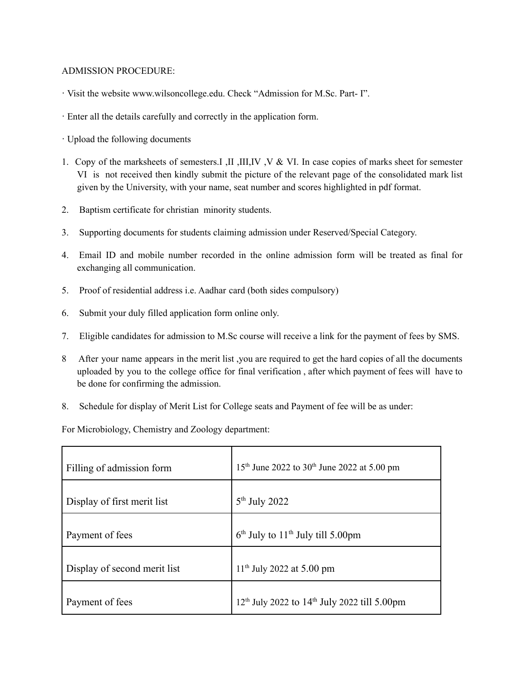#### ADMISSION PROCEDURE:

- · Visit the website www.wilsoncollege.edu. Check "Admission for M.Sc. Part- I".
- · Enter all the details carefully and correctly in the application form.
- · Upload the following documents
- 1. Copy of the marksheets of semesters.I ,II ,III,IV ,V & VI. In case copies of marks sheet for semester VI is not received then kindly submit the picture of the relevant page of the consolidated mark list given by the University, with your name, seat number and scores highlighted in pdf format.
- 2. Baptism certificate for christian minority students.
- 3. Supporting documents for students claiming admission under Reserved/Special Category.
- 4. Email ID and mobile number recorded in the online admission form will be treated as final for exchanging all communication.
- 5. Proof of residential address i.e. Aadhar card (both sides compulsory)
- 6. Submit your duly filled application form online only.
- 7. Eligible candidates for admission to M.Sc course will receive a link for the payment of fees by SMS.
- 8 After your name appears in the merit list ,you are required to get the hard copies of all the documents uploaded by you to the college office for final verification , after which payment of fees will have to be done for confirming the admission.
- 8. Schedule for display of Merit List for College seats and Payment of fee will be as under:

For Microbiology, Chemistry and Zoology department:

| Filling of admission form    | 15 <sup>th</sup> June 2022 to 30 <sup>th</sup> June 2022 at 5.00 pm |
|------------------------------|---------------------------------------------------------------------|
| Display of first merit list  | $5th$ July 2022                                                     |
| Payment of fees              | $6th$ July to 11 <sup>th</sup> July till 5.00pm                     |
| Display of second merit list | $11th$ July 2022 at 5.00 pm                                         |
| Payment of fees              | $12th$ July 2022 to $14th$ July 2022 till 5.00pm                    |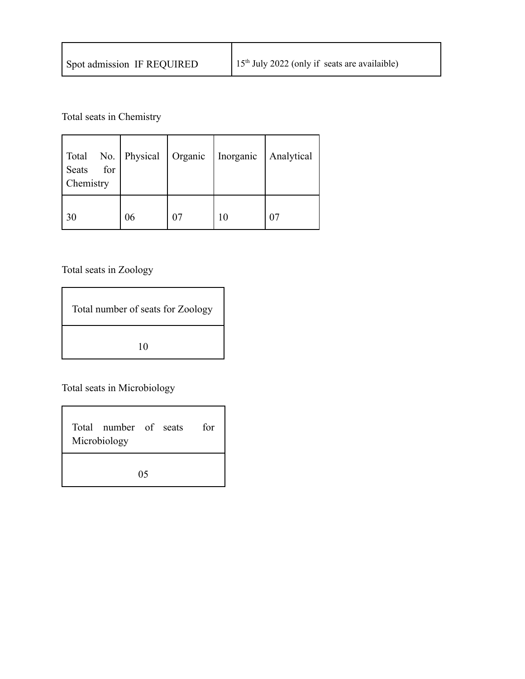| Spot admission IF REQUIRED | $15th$ July 2022 (only if seats are availaible) |
|----------------------------|-------------------------------------------------|
|                            |                                                 |

Total seats in Chemistry

| Total No. Physical Organic<br>for<br>Seats<br>Chemistry |    | Inorganic | Analytical |
|---------------------------------------------------------|----|-----------|------------|
| 30                                                      | 06 | 10        |            |

Total seats in Zoology

| Total number of seats for Zoology |  |
|-----------------------------------|--|
| 10                                |  |

Total seats in Microbiology

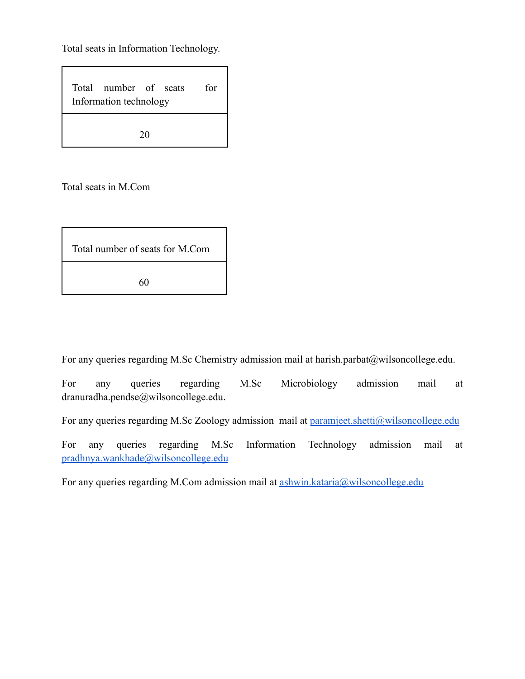Total seats in Information Technology.

| Total number of seats<br>Information technology |    | for |
|-------------------------------------------------|----|-----|
|                                                 | 20 |     |

Total seats in M.Com

| Total number of seats for M.Com |  |
|---------------------------------|--|
| 60                              |  |

For any queries regarding M.Sc Chemistry admission mail at harish.parbat@wilsoncollege.edu.

For any queries regarding M.Sc Microbiology admission mail at dranuradha.pendse@wilsoncollege.edu.

For any queries regarding M.Sc Zoology admission mail at [paramjeet.shetti@wilsoncollege.edu](mailto:paramjeet.shetti@wilsoncollege.edu)

For any queries regarding M.Sc Information Technology admission mail at [pradhnya.wankhade@wilsoncollege.edu](mailto:pradhnya.wankhade@wilsoncollege.edu)

For any queries regarding M.Com admission mail at [ashwin.kataria@wilsoncollege.edu](mailto:ashwin.kataria@wilsoncollege.edu)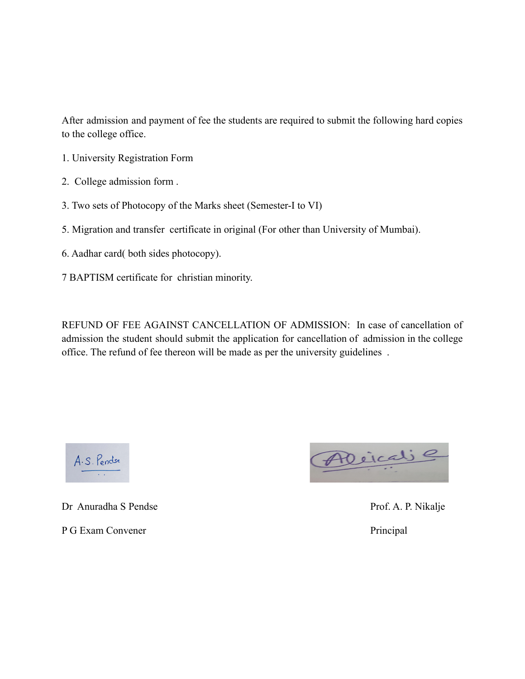After admission and payment of fee the students are required to submit the following hard copies to the college office.

- 1. University Registration Form
- 2. College admission form .
- 3. Two sets of Photocopy of the Marks sheet (Semester-I to VI)
- 5. Migration and transfer certificate in original (For other than University of Mumbai).
- 6. Aadhar card( both sides photocopy).
- 7 BAPTISM certificate for christian minority.

REFUND OF FEE AGAINST CANCELLATION OF ADMISSION: In case of cancellation of admission the student should submit the application for cancellation of admission in the college office. The refund of fee thereon will be made as per the university guidelines .



Dr Anuradha S Pendse Prof. A. P. Nikalje

P G Exam Convener Principal

Aleicaie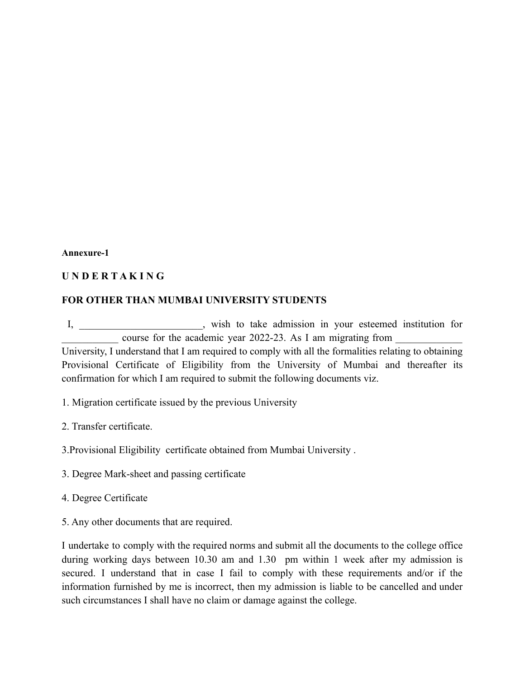#### **Annexure-1**

## **U N D E R T A K I N G**

## **FOR OTHER THAN MUMBAI UNIVERSITY STUDENTS**

I, \_\_\_\_\_\_\_\_\_\_\_\_\_\_\_\_\_\_\_\_\_\_\_\_, wish to take admission in your esteemed institution for course for the academic year 2022-23. As I am migrating from University, I understand that I am required to comply with all the formalities relating to obtaining Provisional Certificate of Eligibility from the University of Mumbai and thereafter its

1. Migration certificate issued by the previous University

2. Transfer certificate.

3.Provisional Eligibility certificate obtained from Mumbai University .

confirmation for which I am required to submit the following documents viz.

3. Degree Mark-sheet and passing certificate

4. Degree Certificate

5. Any other documents that are required.

I undertake to comply with the required norms and submit all the documents to the college office during working days between 10.30 am and 1.30 pm within 1 week after my admission is secured. I understand that in case I fail to comply with these requirements and/or if the information furnished by me is incorrect, then my admission is liable to be cancelled and under such circumstances I shall have no claim or damage against the college.